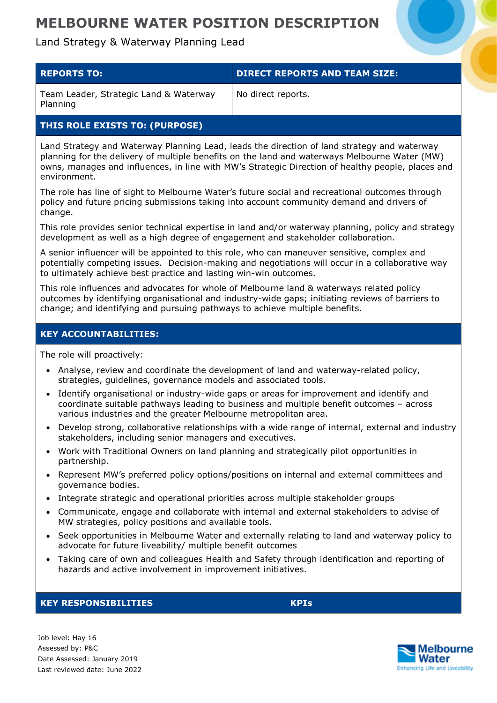### Land Strategy & Waterway Planning Lead

| <b>REPORTS TO:</b>                                 | <b>DIRECT REPORTS AND TEAM SIZE:</b> |
|----------------------------------------------------|--------------------------------------|
| Team Leader, Strategic Land & Waterway<br>Planning | No direct reports.                   |

### **THIS ROLE EXISTS TO: (PURPOSE)**

Land Strategy and Waterway Planning Lead, leads the direction of land strategy and waterway planning for the delivery of multiple benefits on the land and waterways Melbourne Water (MW) owns, manages and influences, in line with MW's Strategic Direction of healthy people, places and environment.

The role has line of sight to Melbourne Water's future social and recreational outcomes through policy and future pricing submissions taking into account community demand and drivers of change.

This role provides senior technical expertise in land and/or waterway planning, policy and strategy development as well as a high degree of engagement and stakeholder collaboration.

A senior influencer will be appointed to this role, who can maneuver sensitive, complex and potentially competing issues. Decision-making and negotiations will occur in a collaborative way to ultimately achieve best practice and lasting win-win outcomes.

This role influences and advocates for whole of Melbourne land & waterways related policy outcomes by identifying organisational and industry-wide gaps; initiating reviews of barriers to change; and identifying and pursuing pathways to achieve multiple benefits.

### **KEY ACCOUNTABILITIES:**

The role will proactively:

- Analyse, review and coordinate the development of land and waterway-related policy, strategies, guidelines, governance models and associated tools.
- Identify organisational or industry-wide gaps or areas for improvement and identify and coordinate suitable pathways leading to business and multiple benefit outcomes – across various industries and the greater Melbourne metropolitan area.
- Develop strong, collaborative relationships with a wide range of internal, external and industry stakeholders, including senior managers and executives.
- Work with Traditional Owners on land planning and strategically pilot opportunities in partnership.
- Represent MW's preferred policy options/positions on internal and external committees and governance bodies.
- Integrate strategic and operational priorities across multiple stakeholder groups
- Communicate, engage and collaborate with internal and external stakeholders to advise of MW strategies, policy positions and available tools.
- Seek opportunities in Melbourne Water and externally relating to land and waterway policy to advocate for future liveability/ multiple benefit outcomes
- Taking care of own and colleagues Health and Safety through identification and reporting of hazards and active involvement in improvement initiatives.

#### **KEY RESPONSIBILITIES KPIs**

Job level: Hay 16 Assessed by: P&C Date Assessed: January 2019 Last reviewed date: June 2022

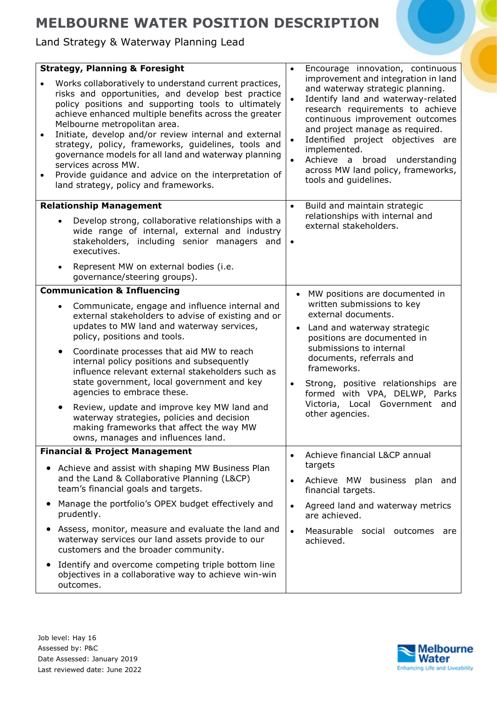Land Strategy & Waterway Planning Lead

|                                                                                                                                                                                                                                                                                                                                                                                                                                                                                                                                                                           | <b>Strategy, Planning &amp; Foresight</b>                                                                                                                                                                  |                        | Encourage innovation, continuous                                                                                                                                                                                                                                                                                                                                             |  |
|---------------------------------------------------------------------------------------------------------------------------------------------------------------------------------------------------------------------------------------------------------------------------------------------------------------------------------------------------------------------------------------------------------------------------------------------------------------------------------------------------------------------------------------------------------------------------|------------------------------------------------------------------------------------------------------------------------------------------------------------------------------------------------------------|------------------------|------------------------------------------------------------------------------------------------------------------------------------------------------------------------------------------------------------------------------------------------------------------------------------------------------------------------------------------------------------------------------|--|
| Works collaboratively to understand current practices,<br>risks and opportunities, and develop best practice<br>policy positions and supporting tools to ultimately<br>achieve enhanced multiple benefits across the greater<br>Melbourne metropolitan area.<br>Initiate, develop and/or review internal and external<br>strategy, policy, frameworks, guidelines, tools and<br>governance models for all land and waterway planning<br>services across MW.<br>Provide guidance and advice on the interpretation of<br>$\bullet$<br>land strategy, policy and frameworks. |                                                                                                                                                                                                            | $\bullet$<br>$\bullet$ | improvement and integration in land<br>and waterway strategic planning.<br>Identify land and waterway-related<br>research requirements to achieve<br>continuous improvement outcomes<br>and project manage as required.<br>Identified project objectives are<br>implemented.<br>Achieve a broad understanding<br>across MW land policy, frameworks,<br>tools and guidelines. |  |
| <b>Relationship Management</b>                                                                                                                                                                                                                                                                                                                                                                                                                                                                                                                                            |                                                                                                                                                                                                            | $\bullet$              | Build and maintain strategic                                                                                                                                                                                                                                                                                                                                                 |  |
|                                                                                                                                                                                                                                                                                                                                                                                                                                                                                                                                                                           | Develop strong, collaborative relationships with a<br>wide range of internal, external and industry<br>stakeholders, including senior managers and<br>executives.<br>Represent MW on external bodies (i.e. | $\bullet$              | relationships with internal and<br>external stakeholders.                                                                                                                                                                                                                                                                                                                    |  |
|                                                                                                                                                                                                                                                                                                                                                                                                                                                                                                                                                                           | governance/steering groups).                                                                                                                                                                               |                        |                                                                                                                                                                                                                                                                                                                                                                              |  |
|                                                                                                                                                                                                                                                                                                                                                                                                                                                                                                                                                                           | <b>Communication &amp; Influencing</b>                                                                                                                                                                     | $\bullet$              | MW positions are documented in<br>written submissions to key<br>external documents.<br>Land and waterway strategic<br>positions are documented in<br>submissions to internal                                                                                                                                                                                                 |  |
|                                                                                                                                                                                                                                                                                                                                                                                                                                                                                                                                                                           | Communicate, engage and influence internal and<br>external stakeholders to advise of existing and or<br>updates to MW land and waterway services,<br>policy, positions and tools.                          |                        |                                                                                                                                                                                                                                                                                                                                                                              |  |
|                                                                                                                                                                                                                                                                                                                                                                                                                                                                                                                                                                           | Coordinate processes that aid MW to reach<br>internal policy positions and subsequently<br>influence relevant external stakeholders such as<br>state government, local government and key                  |                        | documents, referrals and<br>frameworks.<br>Strong, positive relationships are                                                                                                                                                                                                                                                                                                |  |
|                                                                                                                                                                                                                                                                                                                                                                                                                                                                                                                                                                           | agencies to embrace these.<br>Review, update and improve key MW land and<br>waterway strategies, policies and decision<br>making frameworks that affect the way MW<br>owns, manages and influences land.   |                        | formed with VPA, DELWP, Parks<br>Victoria, Local Government and<br>other agencies.                                                                                                                                                                                                                                                                                           |  |
| <b>Financial &amp; Project Management</b>                                                                                                                                                                                                                                                                                                                                                                                                                                                                                                                                 |                                                                                                                                                                                                            | $\bullet$              | Achieve financial L&CP annual                                                                                                                                                                                                                                                                                                                                                |  |
| Achieve and assist with shaping MW Business Plan<br>and the Land & Collaborative Planning (L&CP)<br>team's financial goals and targets.                                                                                                                                                                                                                                                                                                                                                                                                                                   |                                                                                                                                                                                                            | $\bullet$              | targets<br>Achieve MW business plan<br>and<br>financial targets.                                                                                                                                                                                                                                                                                                             |  |
|                                                                                                                                                                                                                                                                                                                                                                                                                                                                                                                                                                           | Manage the portfolio's OPEX budget effectively and<br>prudently.                                                                                                                                           |                        | Agreed land and waterway metrics<br>are achieved.                                                                                                                                                                                                                                                                                                                            |  |
|                                                                                                                                                                                                                                                                                                                                                                                                                                                                                                                                                                           | Assess, monitor, measure and evaluate the land and<br>waterway services our land assets provide to our<br>customers and the broader community.                                                             |                        | Measurable social outcomes<br>are<br>achieved.                                                                                                                                                                                                                                                                                                                               |  |
|                                                                                                                                                                                                                                                                                                                                                                                                                                                                                                                                                                           | Identify and overcome competing triple bottom line<br>objectives in a collaborative way to achieve win-win<br>outcomes.                                                                                    |                        |                                                                                                                                                                                                                                                                                                                                                                              |  |

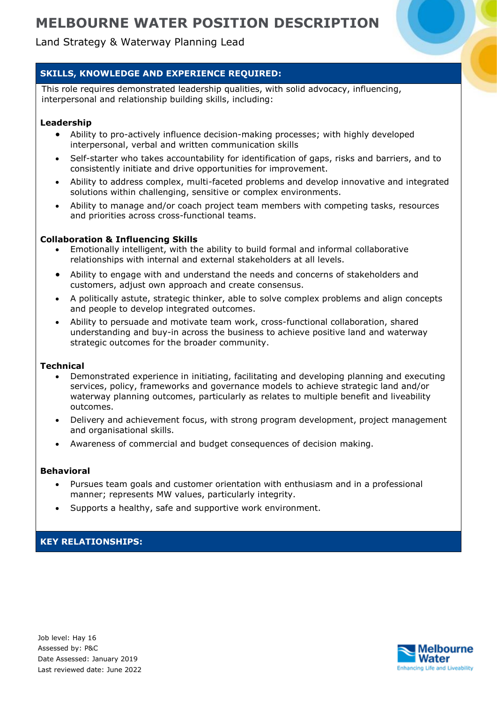## Land Strategy & Waterway Planning Lead

### **SKILLS, KNOWLEDGE AND EXPERIENCE REQUIRED:**

This role requires demonstrated leadership qualities, with solid advocacy, influencing, interpersonal and relationship building skills, including:

#### **Leadership**

- Ability to pro-actively influence decision-making processes; with highly developed interpersonal, verbal and written communication skills
- Self-starter who takes accountability for identification of gaps, risks and barriers, and to consistently initiate and drive opportunities for improvement.
- Ability to address complex, multi-faceted problems and develop innovative and integrated solutions within challenging, sensitive or complex environments.
- Ability to manage and/or coach project team members with competing tasks, resources and priorities across cross-functional teams.

#### **Collaboration & Influencing Skills**

- Emotionally intelligent, with the ability to build formal and informal collaborative relationships with internal and external stakeholders at all levels.
- Ability to engage with and understand the needs and concerns of stakeholders and customers, adjust own approach and create consensus.
- A politically astute, strategic thinker, able to solve complex problems and align concepts and people to develop integrated outcomes.
- Ability to persuade and motivate team work, cross-functional collaboration, shared understanding and buy-in across the business to achieve positive land and waterway strategic outcomes for the broader community.

#### **Technical**

- Demonstrated experience in initiating, facilitating and developing planning and executing services, policy, frameworks and governance models to achieve strategic land and/or waterway planning outcomes, particularly as relates to multiple benefit and liveability outcomes.
- Delivery and achievement focus, with strong program development, project management and organisational skills.
- Awareness of commercial and budget consequences of decision making.

#### **Behavioral**

- Pursues team goals and customer orientation with enthusiasm and in a professional manner; represents MW values, particularly integrity.
- Supports a healthy, safe and supportive work environment.

#### **KEY RELATIONSHIPS:**